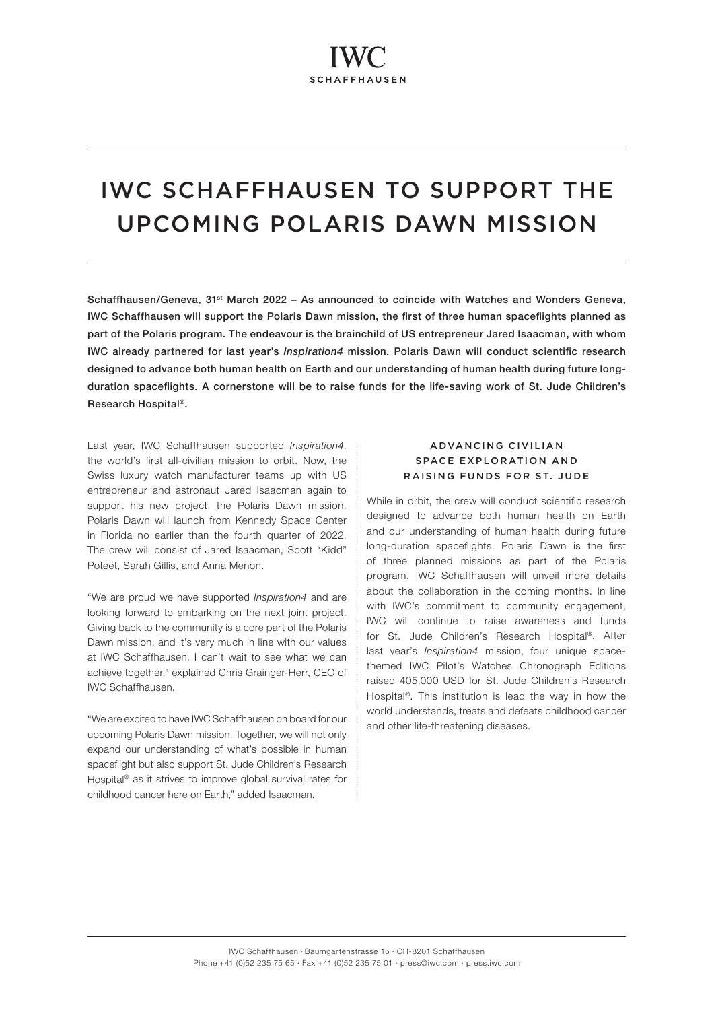# IWC SCHAFFHAUSEN TO SUPPORT THE UPCOMING POLARIS DAWN MISSION

Schaffhausen/Geneva, 31st March 2022 – As announced to coincide with Watches and Wonders Geneva, IWC Schaffhausen will support the Polaris Dawn mission, the first of three human spaceflights planned as part of the Polaris program. The endeavour is the brainchild of US entrepreneur Jared Isaacman, with whom IWC already partnered for last year's Inspiration4 mission. Polaris Dawn will conduct scientific research designed to advance both human health on Earth and our understanding of human health during future longduration spaceflights. A cornerstone will be to raise funds for the life-saving work of St. Jude Children's Research Hospital®.

Last year, IWC Schaffhausen supported *Inspiration4*, the world's first all-civilian mission to orbit. Now, the Swiss luxury watch manufacturer teams up with US entrepreneur and astronaut Jared Isaacman again to support his new project, the Polaris Dawn mission. Polaris Dawn will launch from Kennedy Space Center in Florida no earlier than the fourth quarter of 2022. The crew will consist of Jared Isaacman, Scott "Kidd" Poteet, Sarah Gillis, and Anna Menon.

"We are proud we have supported Inspiration4 and are looking forward to embarking on the next joint project. Giving back to the community is a core part of the Polaris Dawn mission, and it's very much in line with our values at IWC Schaffhausen. I can't wait to see what we can achieve together," explained Chris Grainger-Herr, CEO of IWC Schaffhausen.

"We are excited to have IWC Schaffhausen on board for our upcoming Polaris Dawn mission. Together, we will not only expand our understanding of what's possible in human spaceflight but also support St. Jude Children's Research Hospital® as it strives to improve global survival rates for childhood cancer here on Earth," added Isaacman.

# ADVANCING CIVILIAN SPACE EXPLORATION AND RAISING FUNDS FOR ST. JUDE

While in orbit, the crew will conduct scientific research designed to advance both human health on Earth and our understanding of human health during future long-duration spaceflights. Polaris Dawn is the first of three planned missions as part of the Polaris program. IWC Schaffhausen will unveil more details about the collaboration in the coming months. In line with IWC's commitment to community engagement, IWC will continue to raise awareness and funds for St. Jude Children's Research Hospital®. After last year's *Inspiration4* mission, four unique spacethemed IWC Pilot's Watches Chronograph Editions raised 405,000 USD for St. Jude Children's Research Hospital®. This institution is lead the way in how the world understands, treats and defeats childhood cancer and other life-threatening diseases.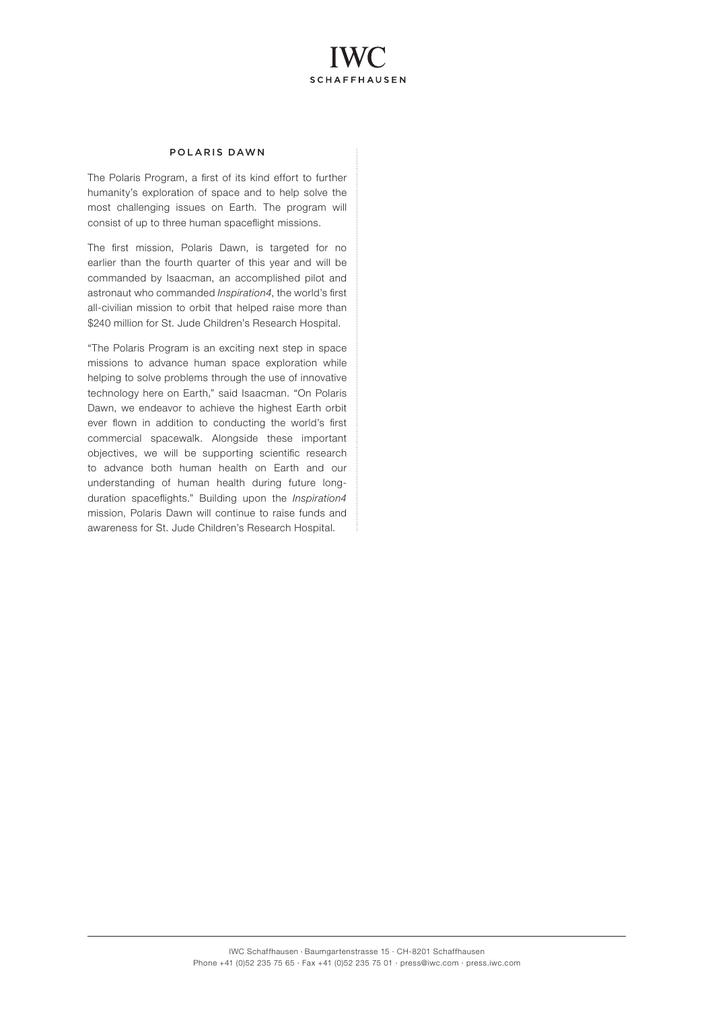# **SCHAFFHAUSEN**

# POLARIS DAWN

The Polaris Program, a first of its kind effort to further humanity's exploration of space and to help solve the most challenging issues on Earth. The program will consist of up to three human spaceflight missions.

The first mission, Polaris Dawn, is targeted for no earlier than the fourth quarter of this year and will be commanded by Isaacman, an accomplished pilot and astronaut who commanded Inspiration4, the world's first all-civilian mission to orbit that helped raise more than \$240 million for St. Jude Children's Research Hospital.

"The Polaris Program is an exciting next step in space missions to advance human space exploration while helping to solve problems through the use of innovative technology here on Earth," said Isaacman. "On Polaris Dawn, we endeavor to achieve the highest Earth orbit ever flown in addition to conducting the world's first commercial spacewalk. Alongside these important objectives, we will be supporting scientific research to advance both human health on Earth and our understanding of human health during future longduration spaceflights." Building upon the Inspiration4 mission, Polaris Dawn will continue to raise funds and awareness for St. Jude Children's Research Hospital.